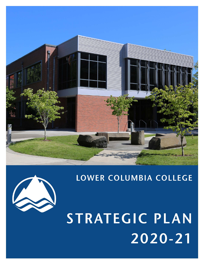

# LOWER COLUMBIA COLLEGE

STRATEGIC PLAN 2020-21

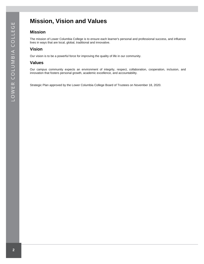# <span id="page-1-0"></span>**Mission, Vision and Values**

## **Mission**

The mission of Lower Columbia College is to ensure each learner's personal and professional success, and influence lives in ways that are local, global, traditional and innovative.

# **Vision**

Our vision is to be a powerful force for improving the quality of life in our community.

## **Values**

Our campus community expects an environment of integrity, respect, collaboration, cooperation, inclusion, and innovation that fosters personal growth, academic excellence, and accountability.

Strategic Plan approved by the Lower Columbia College Board of Trustees on November 18, 2020.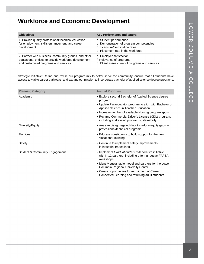# <span id="page-2-0"></span>**Workforce and Economic Development**

| <b>Objectives</b>                                                                                                                                       | <b>Key Performance Indicators</b>                                                                                                            |
|---------------------------------------------------------------------------------------------------------------------------------------------------------|----------------------------------------------------------------------------------------------------------------------------------------------|
| 1. Provide quality professional/technical education<br>for employment, skills enhancement, and career<br>development.                                   | a. Student performance<br>b. Demonstration of program competencies<br>c. Licensure/certification rates<br>d. Placement rate in the workforce |
| 2. Partner with business, community groups, and other<br>educational entities to provide workforce development<br>and customized programs and services. | e. Employer satisfaction<br>f. Relevance of programs<br>g. Client assessment of programs and services                                        |

Strategic Initiative: Refine and revise our program mix to better serve the community, ensure that all students have access to viable career pathways, and expand our mission to incorporate bachelor of applied science degree programs.

| <b>Planning Category</b>       | <b>Annual Priorities</b>                                                                                                                                                                                                                                                                                                            |
|--------------------------------|-------------------------------------------------------------------------------------------------------------------------------------------------------------------------------------------------------------------------------------------------------------------------------------------------------------------------------------|
| Academic                       | • Explore second Bachelor of Applied Science degree<br>program.<br>• Update Paraeducator program to align with Bachelor of<br>Applied Science in Teacher Education.<br>• Increase number of available Nursing program spots.<br>• Revamp Commercial Driver's License (CDL) program,<br>including addressing program sustainability. |
| Diversity/Equity               | • Analyze disaggregated data to reduce equity gaps in<br>professional/technical programs.                                                                                                                                                                                                                                           |
| <b>Facilities</b>              | • Educate constituents to build support for the new<br>Vocational Building.                                                                                                                                                                                                                                                         |
| Safety                         | • Continue to implement safety improvements<br>in industrial trades labs.                                                                                                                                                                                                                                                           |
| Student & Community Engagement | • Implement GraduationPlus collaborative initiative<br>with K-12 partners, including offering regular FAFSA<br>workshops.<br>• Identify sustainable model and partners for the Lower<br>Columbia Regional University Center.                                                                                                        |
|                                | • Create opportunities for recruitment of Career<br>Connected Learning and returning adult students.                                                                                                                                                                                                                                |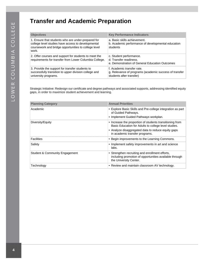# <span id="page-3-0"></span>**Transfer and Academic Preparation**

| <b>Objectives</b>                                                                                                                                                         | <b>Key Performance Indicators</b>                                                                                |
|---------------------------------------------------------------------------------------------------------------------------------------------------------------------------|------------------------------------------------------------------------------------------------------------------|
| 1. Ensure that students who are under-prepared for<br>college level studies have access to developmental<br>coursework and bridge opportunities to college level<br>work. | a. Basic skills achievement.<br>b. Academic performance of developmental education<br>students                   |
| 2. Offer courses and support for students to meet the<br>requirements for transfer from Lower Columbia College.                                                           | c. Student performance.<br>d. Transfer readiness.<br>e. Demonstration of General Education Outcomes              |
| 3. Provide the support for transfer students to<br>successfully transition to upper division college and<br>university programs.                                          | f. Academic transfer rate.<br>g. Relevance of programs (academic success of transfer<br>students after transfer) |

Strategic Initiative: Redesign our certificate and degree pathways and associated supports, addressing identified equity gaps, in order to maximize student achievement and learning.

| <b>Planning Category</b>                  | <b>Annual Priorities</b>                                                                                                                                                                                 |
|-------------------------------------------|----------------------------------------------------------------------------------------------------------------------------------------------------------------------------------------------------------|
| Academic                                  | • Explore Basic Skills and Pre-college integration as part<br>of Guided Pathways.<br>• Implement Guided Pathways workplan.                                                                               |
| Diversity/Equity                          | • Increase the proportion of students transitioning from<br>Basic Education for Adults to college level studies.<br>• Analyze disaggregated data to reduce equity gaps<br>in academic transfer programs. |
| <b>Facilities</b>                         | • Begin improvements to the Learning Commons.                                                                                                                                                            |
| Safety                                    | • Implement safety improvements in art and science<br>labs.                                                                                                                                              |
| <b>Student &amp; Community Engagement</b> | • Strengthen recruiting and enrollment efforts,<br>including promotion of opportunities available through<br>the University Center.                                                                      |
| Technology                                | • Review and maintain classroom AV technology.                                                                                                                                                           |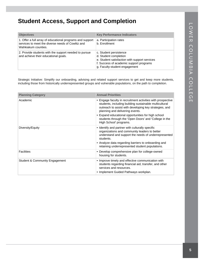# <span id="page-4-0"></span>**Student Access, Support and Completion**

| <b>Objectives</b>                                                                                                                     | <b>Key Performance Indicators</b>                                                                                                                                            |
|---------------------------------------------------------------------------------------------------------------------------------------|------------------------------------------------------------------------------------------------------------------------------------------------------------------------------|
| 1. Offer a full array of educational programs and support<br>services to meet the diverse needs of Cowlitz and<br>Wahkiakum counties. | a. Participation rates<br>b. Enrollment                                                                                                                                      |
| 2. Provide students with the support needed to pursue<br>and achieve their educational goals.                                         | c. Student persistence<br>d. Student completion<br>e. Student satisfaction with support services<br>f. Success of academic support programs<br>g. Faculty-student engagement |

Strategic Initiative: Simplify our onboarding, advising and related support services to get and keep more students, including those from historically underrepresented groups and vulnerable populations, on the path to completion.

| <b>Planning Category</b>       | <b>Annual Priorities</b>                                                                                                                                                                                                                                                                                                                                    |
|--------------------------------|-------------------------------------------------------------------------------------------------------------------------------------------------------------------------------------------------------------------------------------------------------------------------------------------------------------------------------------------------------------|
| Academic                       | • Engage faculty in recruitment activities with prospective<br>students, including building sustainable multicultural<br>outreach to assist with developing key strategies, and<br>planning and delivering events.<br>• Expand educational opportunities for high school<br>students through the 'Open Doors' and 'College in the<br>High School' programs. |
| Diversity/Equity               | • Identify and partner with culturally specific<br>organizations and community leaders to better<br>understand and support the needs of underrepresented<br>students.<br>• Analyze data regarding barriers to onboarding and<br>retaining underrepresented student populations.                                                                             |
| <b>Facilities</b>              | • Develop comprehensive plan for college-owned<br>housing for students.                                                                                                                                                                                                                                                                                     |
| Student & Community Engagement | • Improve timely and effective communication with<br>students regarding financial aid, transfer, and other<br>services and resources.<br>• Implement Guided Pathways workplan.                                                                                                                                                                              |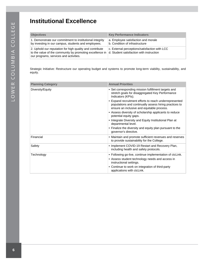# <span id="page-5-0"></span>**Institutional Excellence**

| <b>Objectives</b>                                                                                                                                              | <b>Key Performance Indicators</b>                                                         |
|----------------------------------------------------------------------------------------------------------------------------------------------------------------|-------------------------------------------------------------------------------------------|
| 1. Demonstrate our commitment to institutional integrity<br>by investing in our campus, students and employees.                                                | a. Employee satisfaction and morale<br>b. Condition of infrastructure                     |
| 2. Uphold our reputation for high quality and contribute<br>to the value of the community by promoting excellence in<br>our programs, services and activities. | c. External perceptions/satisfaction with LCC<br>d. Student satisfaction with instruction |

Strategic Initiative: Restructure our operating budget and systems to promote long-term viability, sustainability, and equity.

| <b>Planning Category</b> | <b>Annual Priorities</b>                                                                                                                                                                                                                                                                                                                                                                                                                                                                                                                                 |
|--------------------------|----------------------------------------------------------------------------------------------------------------------------------------------------------------------------------------------------------------------------------------------------------------------------------------------------------------------------------------------------------------------------------------------------------------------------------------------------------------------------------------------------------------------------------------------------------|
| Diversity/Equity         | • Set corresponding mission fulfillment targets and<br>stretch goals for disaggregated Key Performance<br>Indicators (KPIs).<br>• Expand recruitment efforts to reach underrepresented<br>populations and continually assess hiring practices to<br>ensure an inclusive and equitable process.<br>• Assess diversity of scholarship applicants to reduce<br>potential equity gaps.<br>• Integrate Diversity and Equity Institutional Plan at<br>departmental level.<br>• Finalize the diversity and equity plan pursuant to the<br>governor's directive. |
| Financial                | • Maintain and promote sufficient revenues and reserves<br>to provide sustainability for the College.                                                                                                                                                                                                                                                                                                                                                                                                                                                    |
| Safety                   | • Implement COVID-19 Restart and Recovery Plan,<br>including health and safety protocols.                                                                                                                                                                                                                                                                                                                                                                                                                                                                |
| Technology               | • Following go-live, continue implementation of ctcLink.<br>• Assess student technology needs and access in<br>instructional settings.<br>• Continue to work on integration of third-party<br>applications with ctcLink.                                                                                                                                                                                                                                                                                                                                 |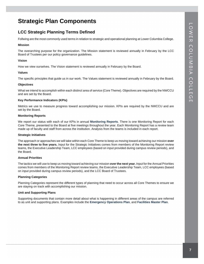# <span id="page-6-0"></span>**Strategic Plan Components**

## **LCC Strategic Planning Terms Defined**

Follwing are the most commonly used terms in relation to strategic and operational planning at Lower Columbia College.

#### **Mission**

The overarching purpose for the organization. The Mission statement is reviewed annually in February by the LCC Board of Trustees per our policy governance guidelines.

#### **Vision**

How we view ourselves. The Vision statement is reviewed annually in February by the Board.

#### **Values**

The specific principles that guide us in our work. The Values statement is reviewed annually in February by the Board.

#### **Objectives**

What we intend to accomplish within each distinct area of service (Core Theme). Objectives are required by the NWCCU and are set by the Board.

#### **Key Performance Indicators (KPIs)**

Metrics we use to measure progress toward accomplishing our mission. KPIs are required by the NWCCU and are set by the Board.

#### **Monitoring Reports**

We report our status with each of our KPIs in annual **[Monitoring Reports](https://lowercolumbia.edu/disclosure/institutional-effectiveness-monitoring.php)**. There is one Monitoring Report for each Core Theme, presented to the Board at five meetings throughout the year. Each Monitoring Report has a review team made up of faculty and staff from across the institution. Analysis from the teams is included in each report.

#### **Strategic Initiatives**

The approach or approaches we will take within each Core Theme to keep us moving toward achieving our mission **over the next three to five years.** Input for the Strategic Initiatives comes from members of the Monitoring Report review teams, the Executive Leadership Team, LCC employees (based on input provided during campus review periods), and the Board.

#### **Annual Priorities**

The tactics we will use to keep us moving toward achieving our mission **over the next year.** Input for the Annual Priorities comes from members of the Monitoring Report review teams, the Executive Leadership Team, LCC employees (based on input provided during campus review periods), and the LCC Board of Trustees.

#### **Planning Categories**

Planning Categories represent the different types of planning that need to occur across all Core Themes to ensure we are staying on track with accomplishing our mission.

#### **Unit and Supporting Plans**

Supporting documents that contain more detail about what is happening in different areas of the campus are referred to as unit and supporting plans. Examples include the **[Emergency Operations Plan](https://services4.lowercolumbia.edu/info/webresources/Institutional-Research/Emergency-Operations-Plan.pdf)**, and **[Facilities Master Plan](https://services4.lowercolumbia.edu/info/webResources2/BuildingsFacilities/MasterPlan/LCCMasterPlanFinal-03-27-2015.pdf)**.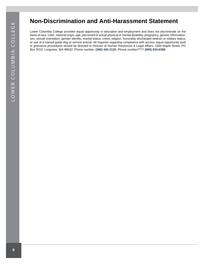# ш LOWER COLUMBIA COLLEG

# <span id="page-7-0"></span>**Non-Discrimination and Anti-Harassment Statement**

Lower Columbia College provides equal opportunity in education and employment and does not discriminate on the basis of race, color, national origin, age, perceived or actual physical or mental disability, pregnancy, genetic information, sex, sexual orientation, gender identity, marital status, creed, religion, honorably discharged veteran or military status, or use of a trained guide dog or service animal. All Inquiries regarding compliance with access, equal opportunity and/ or grievance procedures should be directed to Director of Human Resources & Legal Affairs, 1600 Maple Street, PO Box 3010, Longview, WA 98632, Phone number, **[\(360\) 442-2120](https://lowercolumbia.edu/publications/strategic-plan-archive/tel:+13604422120)**, Phone number/TTY **[\(800\) 833-6388](https://lowercolumbia.edu/publications/strategic-plan-archive/tel:+18008336388)**.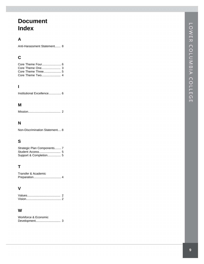# **Document Index**

## **A**

Anti-Harassment Statement . . . . . . . [8](#page-7-0)

# **C**

# **I**

Institutional Excellence............... [6](#page-5-0)

## **M**

Mission . . . . . . . . . . . . . . . . . . . . . . . . . . . . . . . . . . . . . . . [2](#page-1-0)

## **N**

Non-Discrimination Statement . . . . [8](#page-7-0)

# **S**

| Strategic Plan Components 7 |  |
|-----------------------------|--|
|                             |  |
|                             |  |

## **T**

| Transfer & Academic |  |
|---------------------|--|
|                     |  |

## **V**

## **W**

| Workforce & Economic |  |
|----------------------|--|
|                      |  |